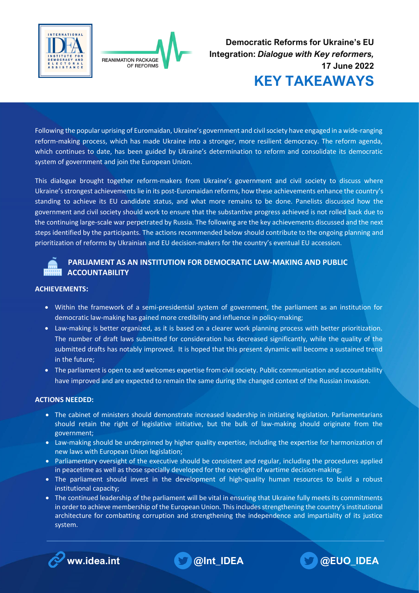



**Democratic Reforms for Ukraine's EU Integration:** *Dialogue with Key reformers,* **17 June 2022 KEY TAKEAWAYS**

Following the popular uprising of Euromaidan, Ukraine's government and civil society have engaged in a wide-ranging reform-making process, which has made Ukraine into a stronger, more resilient democracy. The reform agenda, which continues to date, has been guided by Ukraine's determination to reform and consolidate its democratic system of government and join the European Union.

This dialogue brought together reform-makers from Ukraine's government and civil society to discuss where Ukraine's strongest achievements lie in its post-Euromaidan reforms, how these achievements enhance the country's standing to achieve its EU candidate status, and what more remains to be done. Panelists discussed how the government and civil society should work to ensure that the substantive progress achieved is not rolled back due to the continuing large-scale war perpetrated by Russia. The following are the key achievements discussed and the next steps identified by the participants. The actions recommended below should contribute to the ongoing planning and prioritization of reforms by Ukrainian and EU decision-makers for the country's eventual EU accession.

### **PARLIAMENT AS AN INSTITUTION FOR DEMOCRATIC LAW-MAKING AND PUBLIC ACCOUNTABILITY**

#### **ACHIEVEMENTS:**

- Within the framework of a semi-presidential system of government, the parliament as an institution for democratic law-making has gained more credibility and influence in policy-making;
- Law-making is better organized, as it is based on a clearer work planning process with better prioritization. The number of draft laws submitted for consideration has decreased significantly, while the quality of the submitted drafts has notably improved. It is hoped that this present dynamic will become a sustained trend in the future;
- The parliament is open to and welcomes expertise from civil society. Public communication and accountability have improved and are expected to remain the same during the changed context of the Russian invasion.

#### **ACTIONS NEEDED:**

- The cabinet of ministers should demonstrate increased leadership in initiating legislation. Parliamentarians should retain the right of legislative initiative, but the bulk of law-making should originate from the government;
- Law-making should be underpinned by higher quality expertise, including the expertise for harmonization of new laws with European Union legislation;
- Parliamentary oversight of the executive should be consistent and regular, including the procedures applied in peacetime as well as those specially developed for the oversight of wartime decision-making;
- The parliament should invest in the development of high-quality human resources to build a robust institutional capacity;
- The continued leadership of the parliament will be vital in ensuring that Ukraine fully meets its commitments in order to achieve membership of the European Union. This includes strengthening the country's institutional architecture for combatting corruption and strengthening the independence and impartiality of its justice system.



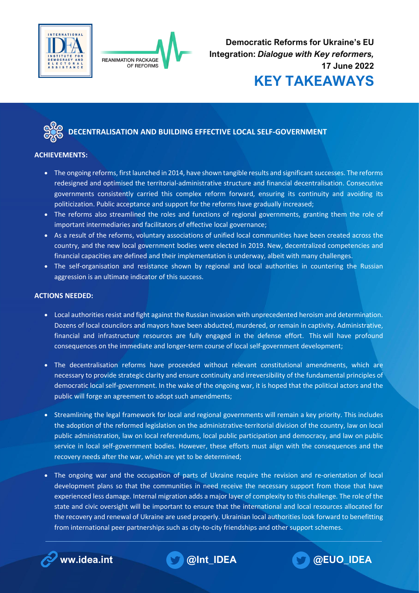



**Democratic Reforms for Ukraine's EU Integration:** *Dialogue with Key reformers,* **17 June 2022 KEY TAKEAWAYS**

# **DECENTRALISATION AND BUILDING EFFECTIVE LOCAL SELF-GOVERNMENT**

#### **ACHIEVEMENTS:**

- The ongoing reforms, first launched in 2014, have shown tangible results and significant successes. The reforms redesigned and optimised the territorial-administrative structure and financial decentralisation. Consecutive governments consistently carried this complex reform forward, ensuring its continuity and avoiding its politicization. Public acceptance and support for the reforms have gradually increased;
- The reforms also streamlined the roles and functions of regional governments, granting them the role of important intermediaries and facilitators of effective local governance;
- As a result of the reforms, voluntary associations of unified local communities have been created across the country, and the new local government bodies were elected in 2019. New, decentralized competencies and financial capacities are defined and their implementation is underway, albeit with many challenges.
- The self-organisation and resistance shown by regional and local authorities in countering the Russian aggression is an ultimate indicator of this success.

#### **ACTIONS NEEDED:**

- Local authorities resist and fight against the Russian invasion with unprecedented heroism and determination. Dozens of local councilors and mayors have been abducted, murdered, or remain in captivity. Administrative, financial and infrastructure resources are fully engaged in the defense effort. This will have profound consequences on the immediate and longer-term course of local self-government development;
- The decentralisation reforms have proceeded without relevant constitutional amendments, which are necessary to provide strategic clarity and ensure continuity and irreversibility of the fundamental principles of democratic local self-government. In the wake of the ongoing war, it is hoped that the political actors and the public will forge an agreement to adopt such amendments;
- Streamlining the legal framework for local and regional governments will remain a key priority. This includes the adoption of the reformed legislation on the administrative-territorial division of the country, law on local public administration, law on local referendums, local public participation and democracy, and law on public service in local self-government bodies. However, these efforts must align with the consequences and the recovery needs after the war, which are yet to be determined;
- The ongoing war and the occupation of parts of Ukraine require the revision and re-orientation of local development plans so that the communities in need receive the necessary support from those that have experienced less damage. Internal migration adds a major layer of complexity to this challenge. The role of the state and civic oversight will be important to ensure that the international and local resources allocated for the recovery and renewal of Ukraine are used properly. Ukrainian local authorities look forward to benefitting from international peer partnerships such as city-to-city friendships and other support schemes.